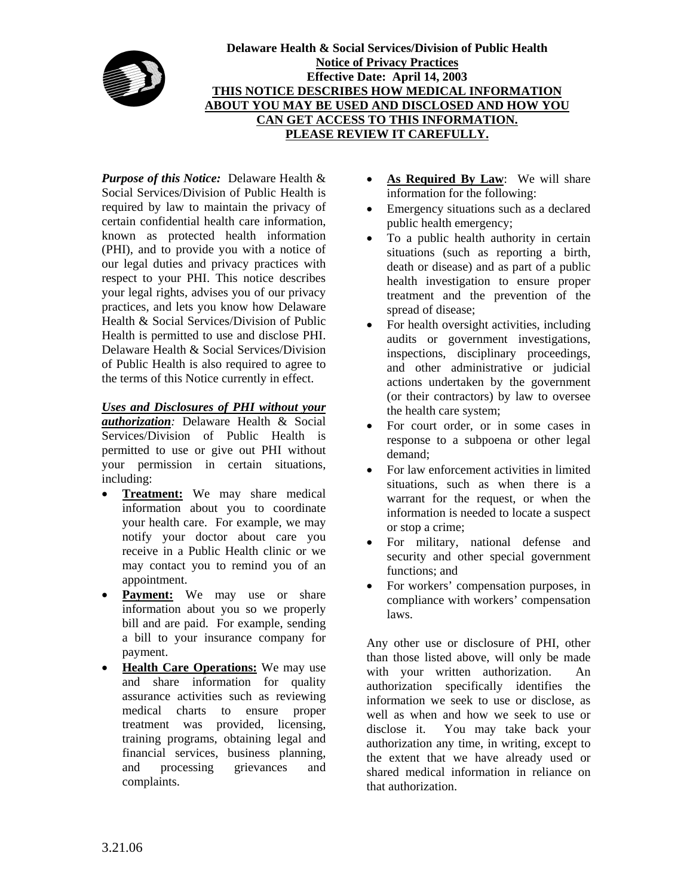

*Purpose of this Notice:* Delaware Health & Social Services/Division of Public Health is required by law to maintain the privacy of certain confidential health care information, known as protected health information (PHI), and to provide you with a notice of our legal duties and privacy practices with respect to your PHI. This notice describes your legal rights, advises you of our privacy practices, and lets you know how Delaware Health & Social Services/Division of Public Health is permitted to use and disclose PHI. Delaware Health & Social Services/Division of Public Health is also required to agree to the terms of this Notice currently in effect.

## *Uses and Disclosures of PHI without your*

*authorization:* Delaware Health & Social Services/Division of Public Health is permitted to use or give out PHI without your permission in certain situations, including:

- **Treatment:** We may share medical information about you to coordinate your health care. For example, we may notify your doctor about care you receive in a Public Health clinic or we may contact you to remind you of an appointment.
- **Payment:** We may use or share information about you so we properly bill and are paid. For example, sending a bill to your insurance company for payment.
- **Health Care Operations:** We may use and share information for quality assurance activities such as reviewing medical charts to ensure proper treatment was provided, licensing, training programs, obtaining legal and financial services, business planning, and processing grievances and complaints.
- **As Required By Law**: We will share information for the following:
- Emergency situations such as a declared public health emergency;
- To a public health authority in certain situations (such as reporting a birth, death or disease) and as part of a public health investigation to ensure proper treatment and the prevention of the spread of disease;
- For health oversight activities, including audits or government investigations, inspections, disciplinary proceedings, and other administrative or judicial actions undertaken by the government (or their contractors) by law to oversee the health care system;
- For court order, or in some cases in response to a subpoena or other legal demand;
- For law enforcement activities in limited situations, such as when there is a warrant for the request, or when the information is needed to locate a suspect or stop a crime;
- For military, national defense and security and other special government functions; and
- For workers' compensation purposes, in compliance with workers' compensation laws.

Any other use or disclosure of PHI, other than those listed above, will only be made with your written authorization. An authorization specifically identifies the information we seek to use or disclose, as well as when and how we seek to use or disclose it. You may take back your authorization any time, in writing, except to the extent that we have already used or shared medical information in reliance on that authorization.